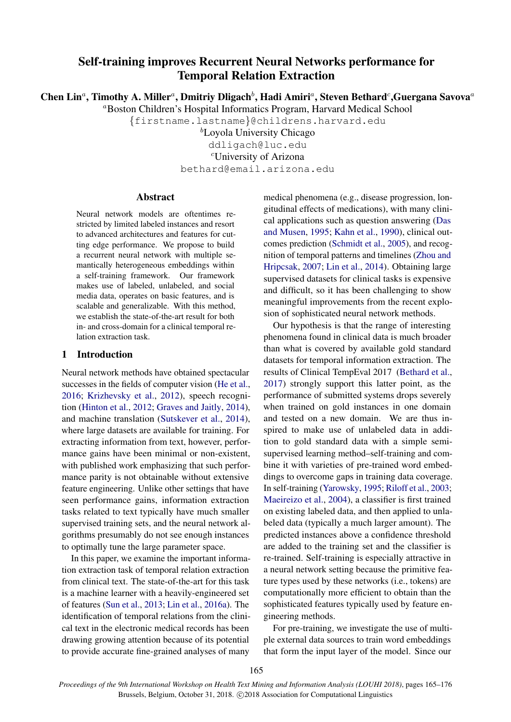# Self-training improves Recurrent Neural Networks performance for Temporal Relation Extraction

Chen Lin<sup>a</sup>, Timothy A. Miller<sup>a</sup>, Dmitriy Dligach<sup>b</sup>, Hadi Amiri<sup>a</sup>, Steven Bethard<sup>c</sup>, Guergana Savova<sup>a</sup>

<sup>a</sup>Boston Children's Hospital Informatics Program, Harvard Medical School

{firstname.lastname}@childrens.harvard.edu

 ${}^{\text{b}}$ Loyola University Chicago ddligach@luc.edu

<sup>c</sup>University of Arizona

bethard@email.arizona.edu

## Abstract

Neural network models are oftentimes restricted by limited labeled instances and resort to advanced architectures and features for cutting edge performance. We propose to build a recurrent neural network with multiple semantically heterogeneous embeddings within a self-training framework. Our framework makes use of labeled, unlabeled, and social media data, operates on basic features, and is scalable and generalizable. With this method, we establish the state-of-the-art result for both in- and cross-domain for a clinical temporal relation extraction task.

# 1 Introduction

Neural network methods have obtained spectacular successes in the fields of computer vision [\(He et al.,](#page-8-0) [2016;](#page-8-0) [Krizhevsky et al.,](#page-9-0) [2012\)](#page-9-0), speech recognition [\(Hinton et al.,](#page-8-1) [2012;](#page-8-1) [Graves and Jaitly,](#page-8-2) [2014\)](#page-8-2), and machine translation [\(Sutskever et al.,](#page-10-0) [2014\)](#page-10-0), where large datasets are available for training. For extracting information from text, however, performance gains have been minimal or non-existent, with published work emphasizing that such performance parity is not obtainable without extensive feature engineering. Unlike other settings that have seen performance gains, information extraction tasks related to text typically have much smaller supervised training sets, and the neural network algorithms presumably do not see enough instances to optimally tune the large parameter space.

In this paper, we examine the important information extraction task of temporal relation extraction from clinical text. The state-of-the-art for this task is a machine learner with a heavily-engineered set of features [\(Sun et al.,](#page-10-1) [2013;](#page-10-1) [Lin et al.,](#page-9-1) [2016a\)](#page-9-1). The identification of temporal relations from the clinical text in the electronic medical records has been drawing growing attention because of its potential to provide accurate fine-grained analyses of many

medical phenomena (e.g., disease progression, longitudinal effects of medications), with many clinical applications such as question answering [\(Das](#page-8-3) [and Musen,](#page-8-3) [1995;](#page-8-3) [Kahn et al.,](#page-9-2) [1990\)](#page-9-2), clinical outcomes prediction [\(Schmidt et al.,](#page-10-2) [2005\)](#page-10-2), and recognition of temporal patterns and timelines [\(Zhou and](#page-11-0) [Hripcsak,](#page-11-0) [2007;](#page-11-0) [Lin et al.,](#page-9-3) [2014\)](#page-9-3). Obtaining large supervised datasets for clinical tasks is expensive and difficult, so it has been challenging to show meaningful improvements from the recent explosion of sophisticated neural network methods.

Our hypothesis is that the range of interesting phenomena found in clinical data is much broader than what is covered by available gold standard datasets for temporal information extraction. The results of Clinical TempEval 2017 [\(Bethard et al.,](#page-8-4) [2017\)](#page-8-4) strongly support this latter point, as the performance of submitted systems drops severely when trained on gold instances in one domain and tested on a new domain. We are thus inspired to make use of unlabeled data in addition to gold standard data with a simple semisupervised learning method–self-training and combine it with varieties of pre-trained word embeddings to overcome gaps in training data coverage. In self-training [\(Yarowsky,](#page-10-3) [1995;](#page-10-3) [Riloff et al.,](#page-10-4) [2003;](#page-10-4) [Maeireizo et al.,](#page-9-4) [2004\)](#page-9-4), a classifier is first trained on existing labeled data, and then applied to unlabeled data (typically a much larger amount). The predicted instances above a confidence threshold are added to the training set and the classifier is re-trained. Self-training is especially attractive in a neural network setting because the primitive feature types used by these networks (i.e., tokens) are computationally more efficient to obtain than the sophisticated features typically used by feature engineering methods.

For pre-training, we investigate the use of multiple external data sources to train word embeddings that form the input layer of the model. Since our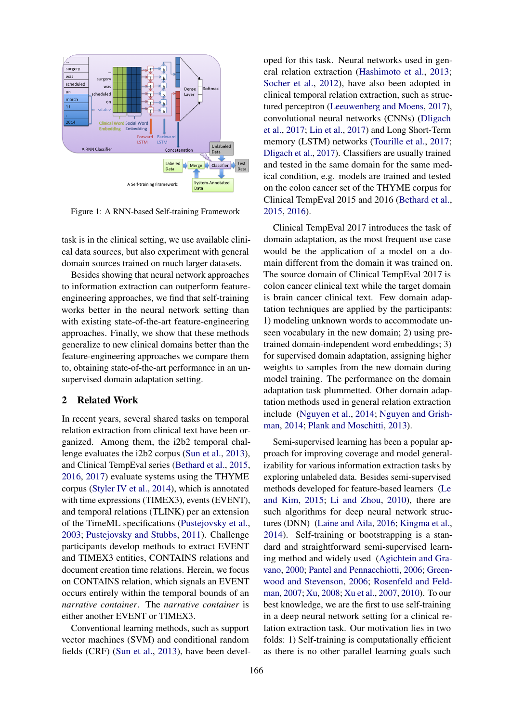

<span id="page-1-0"></span>Figure 1: A RNN-based Self-training Framework

task is in the clinical setting, we use available clinical data sources, but also experiment with general domain sources trained on much larger datasets.

Besides showing that neural network approaches to information extraction can outperform featureengineering approaches, we find that self-training works better in the neural network setting than with existing state-of-the-art feature-engineering approaches. Finally, we show that these methods generalize to new clinical domains better than the feature-engineering approaches we compare them to, obtaining state-of-the-art performance in an unsupervised domain adaptation setting.

# 2 Related Work

In recent years, several shared tasks on temporal relation extraction from clinical text have been organized. Among them, the i2b2 temporal challenge evaluates the i2b2 corpus [\(Sun et al.,](#page-10-1) [2013\)](#page-10-1), and Clinical TempEval series [\(Bethard et al.,](#page-8-5) [2015,](#page-8-5) [2016,](#page-8-6) [2017\)](#page-8-4) evaluate systems using the THYME corpus [\(Styler IV et al.,](#page-10-5) [2014\)](#page-10-5), which is annotated with time expressions (TIMEX3), events (EVENT), and temporal relations (TLINK) per an extension of the TimeML specifications [\(Pustejovsky et al.,](#page-10-6) [2003;](#page-10-6) [Pustejovsky and Stubbs,](#page-10-7) [2011\)](#page-10-7). Challenge participants develop methods to extract EVENT and TIMEX3 entities, CONTAINS relations and document creation time relations. Herein, we focus on CONTAINS relation, which signals an EVENT occurs entirely within the temporal bounds of an *narrative container*. The *narrative container* is either another EVENT or TIMEX3.

Conventional learning methods, such as support vector machines (SVM) and conditional random fields (CRF) [\(Sun et al.,](#page-10-1) [2013\)](#page-10-1), have been developed for this task. Neural networks used in general relation extraction [\(Hashimoto et al.,](#page-8-7) [2013;](#page-8-7) [Socher et al.,](#page-10-8) [2012\)](#page-10-8), have also been adopted in clinical temporal relation extraction, such as structured perceptron [\(Leeuwenberg and Moens,](#page-9-5) [2017\)](#page-9-5), convolutional neural networks (CNNs) [\(Dligach](#page-8-8) [et al.,](#page-8-8) [2017;](#page-8-8) [Lin et al.,](#page-9-6) [2017\)](#page-9-6) and Long Short-Term memory (LSTM) networks [\(Tourille et al.,](#page-10-9) [2017;](#page-10-9) [Dligach et al.,](#page-8-8) [2017\)](#page-8-8). Classifiers are usually trained and tested in the same domain for the same medical condition, e.g. models are trained and tested on the colon cancer set of the THYME corpus for Clinical TempEval 2015 and 2016 [\(Bethard et al.,](#page-8-5) [2015,](#page-8-5) [2016\)](#page-8-6).

Clinical TempEval 2017 introduces the task of domain adaptation, as the most frequent use case would be the application of a model on a domain different from the domain it was trained on. The source domain of Clinical TempEval 2017 is colon cancer clinical text while the target domain is brain cancer clinical text. Few domain adaptation techniques are applied by the participants: 1) modeling unknown words to accommodate unseen vocabulary in the new domain; 2) using pretrained domain-independent word embeddings; 3) for supervised domain adaptation, assigning higher weights to samples from the new domain during model training. The performance on the domain adaptation task plummetted. Other domain adaptation methods used in general relation extraction include [\(Nguyen et al.,](#page-9-7) [2014;](#page-9-7) [Nguyen and Grish](#page-10-10)[man,](#page-10-10) [2014;](#page-10-10) [Plank and Moschitti,](#page-10-11) [2013\)](#page-10-11).

Semi-supervised learning has been a popular approach for improving coverage and model generalizability for various information extraction tasks by exploring unlabeled data. Besides semi-supervised methods developed for feature-based learners [\(Le](#page-9-8) [and Kim,](#page-9-8) [2015;](#page-9-8) [Li and Zhou,](#page-9-9) [2010\)](#page-9-9), there are such algorithms for deep neural network structures (DNN) [\(Laine and Aila,](#page-9-10) [2016;](#page-9-10) [Kingma et al.,](#page-9-11) [2014\)](#page-9-11). Self-training or bootstrapping is a standard and straightforward semi-supervised learning method and widely used [\(Agichtein and Gra](#page-8-9)[vano,](#page-8-9) [2000;](#page-8-9) [Pantel and Pennacchiotti,](#page-10-12) [2006;](#page-10-12) [Green](#page-8-10)[wood and Stevenson,](#page-8-10) [2006;](#page-8-10) [Rosenfeld and Feld](#page-10-13)[man,](#page-10-13) [2007;](#page-10-13) [Xu,](#page-10-14) [2008;](#page-10-14) [Xu et al.,](#page-10-15) [2007,](#page-10-15) [2010\)](#page-10-16). To our best knowledge, we are the first to use self-training in a deep neural network setting for a clinical relation extraction task. Our motivation lies in two folds: 1) Self-training is computationally efficient as there is no other parallel learning goals such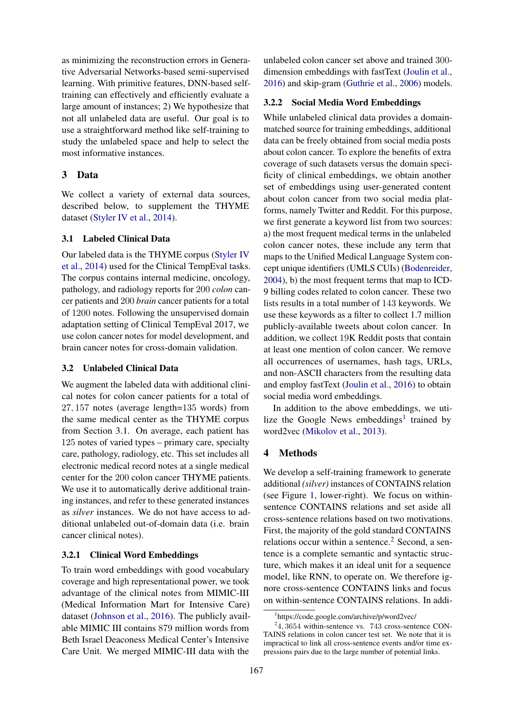as minimizing the reconstruction errors in Generative Adversarial Networks-based semi-supervised learning. With primitive features, DNN-based selftraining can effectively and efficiently evaluate a large amount of instances; 2) We hypothesize that not all unlabeled data are useful. Our goal is to use a straightforward method like self-training to study the unlabeled space and help to select the most informative instances.

## 3 Data

We collect a variety of external data sources, described below, to supplement the THYME dataset [\(Styler IV et al.,](#page-10-5) [2014\)](#page-10-5).

## 3.1 Labeled Clinical Data

Our labeled data is the THYME corpus [\(Styler IV](#page-10-5) [et al.,](#page-10-5) [2014\)](#page-10-5) used for the Clinical TempEval tasks. The corpus contains internal medicine, oncology, pathology, and radiology reports for 200 *colon* cancer patients and 200 *brain* cancer patients for a total of 1200 notes. Following the unsupervised domain adaptation setting of Clinical TempEval 2017, we use colon cancer notes for model development, and brain cancer notes for cross-domain validation.

#### 3.2 Unlabeled Clinical Data

We augment the labeled data with additional clinical notes for colon cancer patients for a total of 27, 157 notes (average length=135 words) from the same medical center as the THYME corpus from Section 3.1. On average, each patient has 125 notes of varied types – primary care, specialty care, pathology, radiology, etc. This set includes all electronic medical record notes at a single medical center for the 200 colon cancer THYME patients. We use it to automatically derive additional training instances, and refer to these generated instances as *silver* instances. We do not have access to additional unlabeled out-of-domain data (i.e. brain cancer clinical notes).

## <span id="page-2-2"></span>3.2.1 Clinical Word Embeddings

To train word embeddings with good vocabulary coverage and high representational power, we took advantage of the clinical notes from MIMIC-III (Medical Information Mart for Intensive Care) dataset [\(Johnson et al.,](#page-9-12) [2016\)](#page-9-12). The publicly available MIMIC III contains 879 million words from Beth Israel Deaconess Medical Center's Intensive Care Unit. We merged MIMIC-III data with the

unlabeled colon cancer set above and trained 300 dimension embeddings with fastText [\(Joulin et al.,](#page-9-13) [2016\)](#page-9-13) and skip-gram [\(Guthrie et al.,](#page-8-11) [2006\)](#page-8-11) models.

## 3.2.2 Social Media Word Embeddings

While unlabeled clinical data provides a domainmatched source for training embeddings, additional data can be freely obtained from social media posts about colon cancer. To explore the benefits of extra coverage of such datasets versus the domain specificity of clinical embeddings, we obtain another set of embeddings using user-generated content about colon cancer from two social media platforms, namely Twitter and Reddit. For this purpose, we first generate a keyword list from two sources: a) the most frequent medical terms in the unlabeled colon cancer notes, these include any term that maps to the Unified Medical Language System concept unique identifiers (UMLS CUIs) [\(Bodenreider,](#page-8-12) [2004\)](#page-8-12), b) the most frequent terms that map to ICD-9 billing codes related to colon cancer. These two lists results in a total number of 143 keywords. We use these keywords as a filter to collect 1.7 million publicly-available tweets about colon cancer. In addition, we collect 19K Reddit posts that contain at least one mention of colon cancer. We remove all occurrences of usernames, hash tags, URLs, and non-ASCII characters from the resulting data and employ fastText [\(Joulin et al.,](#page-9-13) [2016\)](#page-9-13) to obtain social media word embeddings.

In addition to the above embeddings, we uti-lize the Google News embeddings<sup>[1](#page-2-0)</sup> trained by word2vec [\(Mikolov et al.,](#page-9-14) [2013\)](#page-9-14).

## 4 Methods

We develop a self-training framework to generate additional *(silver)* instances of CONTAINS relation (see Figure [1,](#page-1-0) lower-right). We focus on withinsentence CONTAINS relations and set aside all cross-sentence relations based on two motivations. First, the majority of the gold standard CONTAINS relations occur within a sentence. $2$  Second, a sentence is a complete semantic and syntactic structure, which makes it an ideal unit for a sequence model, like RNN, to operate on. We therefore ignore cross-sentence CONTAINS links and focus on within-sentence CONTAINS relations. In addi-

<span id="page-2-1"></span><span id="page-2-0"></span><sup>1</sup> https://code.google.com/archive/p/word2vec/

 $24,3654$  within-sentence vs. 743 cross-sentence CON-TAINS relations in colon cancer test set. We note that it is impractical to link all cross-sentence events and/or time expressions pairs due to the large number of potential links.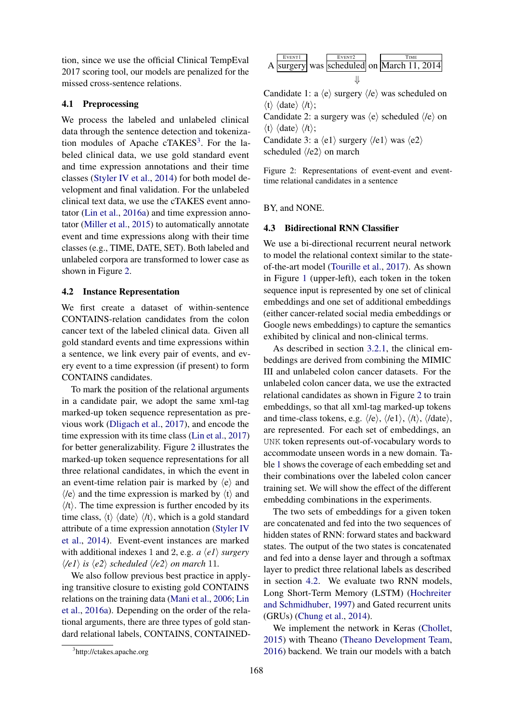tion, since we use the official Clinical TempEval 2017 scoring tool, our models are penalized for the missed cross-sentence relations.

## 4.1 Preprocessing

We process the labeled and unlabeled clinical data through the sentence detection and tokeniza-tion modules of Apache cTAKES<sup>[3](#page-3-0)</sup>. For the labeled clinical data, we use gold standard event and time expression annotations and their time classes [\(Styler IV et al.,](#page-10-5) [2014\)](#page-10-5) for both model development and final validation. For the unlabeled clinical text data, we use the cTAKES event annotator [\(Lin et al.,](#page-9-1) [2016a\)](#page-9-1) and time expression annotator [\(Miller et al.,](#page-9-15) [2015\)](#page-9-15) to automatically annotate event and time expressions along with their time classes (e.g., TIME, DATE, SET). Both labeled and unlabeled corpora are transformed to lower case as shown in Figure [2.](#page-3-1)

#### <span id="page-3-2"></span>4.2 Instance Representation

We first create a dataset of within-sentence CONTAINS-relation candidates from the colon cancer text of the labeled clinical data. Given all gold standard events and time expressions within a sentence, we link every pair of events, and every event to a time expression (if present) to form CONTAINS candidates.

To mark the position of the relational arguments in a candidate pair, we adopt the same xml-tag marked-up token sequence representation as previous work [\(Dligach et al.,](#page-8-8) [2017\)](#page-8-8), and encode the time expression with its time class [\(Lin et al.,](#page-9-6) [2017\)](#page-9-6) for better generalizability. Figure [2](#page-3-1) illustrates the marked-up token sequence representations for all three relational candidates, in which the event in an event-time relation pair is marked by  $\langle e \rangle$  and  $\langle e \rangle$  and the time expression is marked by  $\langle t \rangle$  and  $\langle t \rangle$ . The time expression is further encoded by its time class,  $\langle t \rangle$   $\langle \text{date} \rangle$   $\langle \text{/t} \rangle$ , which is a gold standard attribute of a time expression annotation [\(Styler IV](#page-10-5) [et al.,](#page-10-5) [2014\)](#page-10-5). Event-event instances are marked with additional indexes 1 and 2, e.g. *a*  $\langle e1 \rangle$  *surgery*  $\langle \ell e_1 \rangle$  *is*  $\langle e_2 \rangle$  *scheduled*  $\langle \ell e_2 \rangle$  *on march* 11*.* 

We also follow previous best practice in applying transitive closure to existing gold CONTAINS relations on the training data [\(Mani et al.,](#page-9-16) [2006;](#page-9-16) [Lin](#page-9-1) [et al.,](#page-9-1) [2016a\)](#page-9-1). Depending on the order of the relational arguments, there are three types of gold standard relational labels, CONTAINS, CONTAINED-

$$
A \xrightarrow{\text{Every two}} \text{swes} \xrightarrow{\text{Even12}} \text{on} \xrightarrow{\text{Time}} \text{March 11, 2014}
$$

Candidate 1: a  $\langle e \rangle$  surgery  $\langle e \rangle$  was scheduled on  $\langle t \rangle$   $\langle \text{date} \rangle$   $\langle \text{/t} \rangle$ ;

Candidate 2: a surgery was  $\langle e \rangle$  scheduled  $\langle e \rangle$  on  $\langle t \rangle$   $\langle \text{date} \rangle$   $\langle \text{/t} \rangle$ ;

Candidate 3: a  $\langle e1 \rangle$  surgery  $\langle e1 \rangle$  was  $\langle e2 \rangle$ scheduled  $\langle e2 \rangle$  on march

<span id="page-3-1"></span>Figure 2: Representations of event-event and eventtime relational candidates in a sentence

BY, and NONE.

## 4.3 Bidirectional RNN Classifier

We use a bi-directional recurrent neural network to model the relational context similar to the stateof-the-art model [\(Tourille et al.,](#page-10-9) [2017\)](#page-10-9). As shown in Figure [1](#page-1-0) (upper-left), each token in the token sequence input is represented by one set of clinical embeddings and one set of additional embeddings (either cancer-related social media embeddings or Google news embeddings) to capture the semantics exhibited by clinical and non-clinical terms.

As described in section [3.2.1,](#page-2-2) the clinical embeddings are derived from combining the MIMIC III and unlabeled colon cancer datasets. For the unlabeled colon cancer data, we use the extracted relational candidates as shown in Figure [2](#page-3-1) to train embeddings, so that all xml-tag marked-up tokens and time-class tokens, e.g.  $\langle e \rangle$ ,  $\langle e_1 \rangle$ ,  $\langle h \rangle$ ,  $\langle h \rangle$ ,  $\langle h \rangle$ are represented. For each set of embeddings, an UNK token represents out-of-vocabulary words to accommodate unseen words in a new domain. Table [1](#page-4-0) shows the coverage of each embedding set and their combinations over the labeled colon cancer training set. We will show the effect of the different embedding combinations in the experiments.

The two sets of embeddings for a given token are concatenated and fed into the two sequences of hidden states of RNN: forward states and backward states. The output of the two states is concatenated and fed into a dense layer and through a softmax layer to predict three relational labels as described in section [4.2.](#page-3-2) We evaluate two RNN models, Long Short-Term Memory (LSTM) [\(Hochreiter](#page-8-13) [and Schmidhuber,](#page-8-13) [1997\)](#page-8-13) and Gated recurrent units (GRUs) [\(Chung et al.,](#page-8-14) [2014\)](#page-8-14).

We implement the network in Keras [\(Chollet,](#page-8-15) [2015\)](#page-8-15) with Theano [\(Theano Development Team,](#page-10-17) [2016\)](#page-10-17) backend. We train our models with a batch

<span id="page-3-0"></span><sup>&</sup>lt;sup>3</sup>http://ctakes.apache.org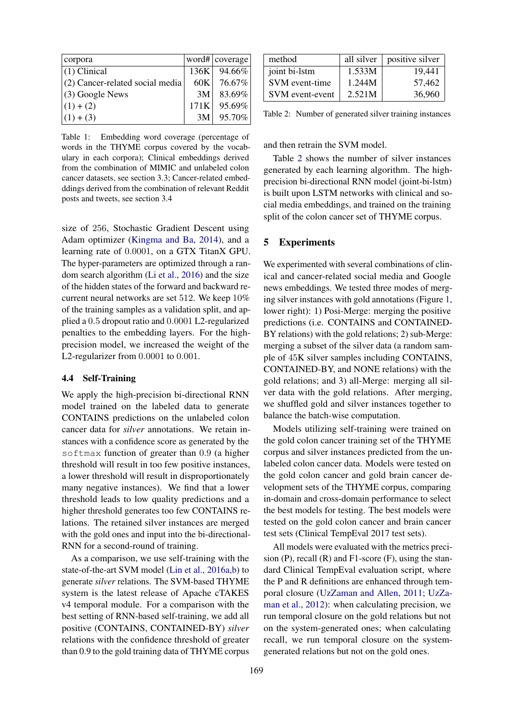| corpora                           |      | word# $ $ coverage |
|-----------------------------------|------|--------------------|
| $(1)$ Clinical                    | 136K | 94.66%             |
| $(2)$ Cancer-related social media | 60K  | 76.67%             |
| $(3)$ Google News                 | 3M   | 83.69%             |
| $(1) + (2)$                       | 171K | 95.69%             |
| $(1) + (3)$                       | 3M   | 95.70%             |

<span id="page-4-0"></span>Table 1: Embedding word coverage (percentage of words in the THYME corpus covered by the vocabulary in each corpora); Clinical embeddings derived from the combination of MIMIC and unlabeled colon cancer datasets, see section 3.3; Cancer-related embedddings derived from the combination of relevant Reddit posts and tweets, see section 3.4

size of 256, Stochastic Gradient Descent using Adam optimizer [\(Kingma and Ba,](#page-9-17) [2014\)](#page-9-17), and a learning rate of 0.0001, on a GTX TitanX GPU. The hyper-parameters are optimized through a random search algorithm [\(Li et al.,](#page-9-18) [2016\)](#page-9-18) and the size of the hidden states of the forward and backward recurrent neural networks are set 512. We keep 10% of the training samples as a validation split, and applied a 0.5 dropout ratio and 0.0001 L2-regularized penalties to the embedding layers. For the highprecision model, we increased the weight of the L2-regularizer from 0.0001 to 0.001.

#### 4.4 Self-Training

We apply the high-precision bi-directional RNN model trained on the labeled data to generate CONTAINS predictions on the unlabeled colon cancer data for *silver* annotations. We retain instances with a confidence score as generated by the softmax function of greater than 0.9 (a higher threshold will result in too few positive instances, a lower threshold will result in disproportionately many negative instances). We find that a lower threshold leads to low quality predictions and a higher threshold generates too few CONTAINS relations. The retained silver instances are merged with the gold ones and input into the bi-directional-RNN for a second-round of training.

As a comparison, we use self-training with the state-of-the-art SVM model [\(Lin et al.,](#page-9-1) [2016a,](#page-9-1)[b\)](#page-9-19) to generate *silver* relations. The SVM-based THYME system is the latest release of Apache cTAKES v4 temporal module. For a comparison with the best setting of RNN-based self-training, we add all positive (CONTAINS, CONTAINED-BY) *silver* relations with the confidence threshold of greater than 0.9 to the gold training data of THYME corpus

| method          | all silver | positive silver |
|-----------------|------------|-----------------|
| joint bi-lstm   | 1.533M     | 19,441          |
| SVM event-time  | 1.244M     | 57,462          |
| SVM event-event | 2.521M     | 36,960          |

<span id="page-4-1"></span>Table 2: Number of generated silver training instances

and then retrain the SVM model.

Table [2](#page-4-1) shows the number of silver instances generated by each learning algorithm. The highprecision bi-directional RNN model (joint-bi-lstm) is built upon LSTM networks with clinical and social media embeddings, and trained on the training split of the colon cancer set of THYME corpus.

## 5 Experiments

We experimented with several combinations of clinical and cancer-related social media and Google news embeddings. We tested three modes of merging silver instances with gold annotations (Figure [1,](#page-1-0) lower right): 1) Posi-Merge: merging the positive predictions (i.e. CONTAINS and CONTAINED-BY relations) with the gold relations; 2) sub-Merge: merging a subset of the silver data (a random sample of 45K silver samples including CONTAINS, CONTAINED-BY, and NONE relations) with the gold relations; and 3) all-Merge: merging all silver data with the gold relations. After merging, we shuffled gold and silver instances together to balance the batch-wise computation.

Models utilizing self-training were trained on the gold colon cancer training set of the THYME corpus and silver instances predicted from the unlabeled colon cancer data. Models were tested on the gold colon cancer and gold brain cancer development sets of the THYME corpus, comparing in-domain and cross-domain performance to select the best models for testing. The best models were tested on the gold colon cancer and brain cancer test sets (Clinical TempEval 2017 test sets).

All models were evaluated with the metrics precision  $(P)$ , recall  $(R)$  and  $F1$ -score  $(F)$ , using the standard Clinical TempEval evaluation script, where the P and R definitions are enhanced through temporal closure [\(UzZaman and Allen,](#page-10-18) [2011;](#page-10-18) [UzZa](#page-10-19)[man et al.,](#page-10-19) [2012\)](#page-10-19): when calculating precision, we run temporal closure on the gold relations but not on the system-generated ones; when calculating recall, we run temporal closure on the systemgenerated relations but not on the gold ones.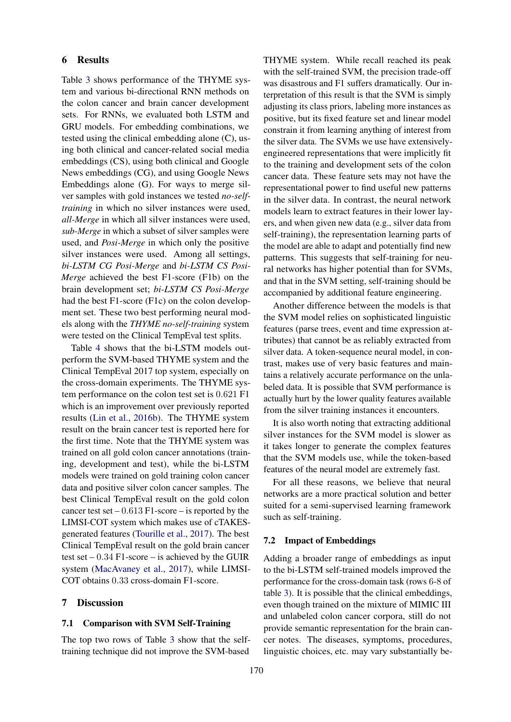## 6 Results

Table [3](#page-6-0) shows performance of the THYME system and various bi-directional RNN methods on the colon cancer and brain cancer development sets. For RNNs, we evaluated both LSTM and GRU models. For embedding combinations, we tested using the clinical embedding alone (C), using both clinical and cancer-related social media embeddings (CS), using both clinical and Google News embeddings (CG), and using Google News Embeddings alone (G). For ways to merge silver samples with gold instances we tested *no-selftraining* in which no silver instances were used, *all-Merge* in which all silver instances were used, *sub-Merge* in which a subset of silver samples were used, and *Posi-Merge* in which only the positive silver instances were used. Among all settings, *bi-LSTM CG Posi-Merge* and *bi-LSTM CS Posi-Merge* achieved the best F1-score (F1b) on the brain development set; *bi-LSTM CS Posi-Merge* had the best F1-score (F1c) on the colon development set. These two best performing neural models along with the *THYME no-self-training* system were tested on the Clinical TempEval test splits.

Table [4](#page-6-1) shows that the bi-LSTM models outperform the SVM-based THYME system and the Clinical TempEval 2017 top system, especially on the cross-domain experiments. The THYME system performance on the colon test set is 0.621 F1 which is an improvement over previously reported results [\(Lin et al.,](#page-9-19) [2016b\)](#page-9-19). The THYME system result on the brain cancer test is reported here for the first time. Note that the THYME system was trained on all gold colon cancer annotations (training, development and test), while the bi-LSTM models were trained on gold training colon cancer data and positive silver colon cancer samples. The best Clinical TempEval result on the gold colon cancer test set  $-0.613$  F1-score – is reported by the LIMSI-COT system which makes use of cTAKESgenerated features [\(Tourille et al.,](#page-10-9) [2017\)](#page-10-9). The best Clinical TempEval result on the gold brain cancer test set  $-0.34$  F1-score  $-$  is achieved by the GUIR system [\(MacAvaney et al.,](#page-9-20) [2017\)](#page-9-20), while LIMSI-COT obtains 0.33 cross-domain F1-score.

## 7 Discussion

## 7.1 Comparison with SVM Self-Training

The top two rows of Table [3](#page-6-0) show that the selftraining technique did not improve the SVM-based

THYME system. While recall reached its peak with the self-trained SVM, the precision trade-off was disastrous and F1 suffers dramatically. Our interpretation of this result is that the SVM is simply adjusting its class priors, labeling more instances as positive, but its fixed feature set and linear model constrain it from learning anything of interest from the silver data. The SVMs we use have extensivelyengineered representations that were implicitly fit to the training and development sets of the colon cancer data. These feature sets may not have the representational power to find useful new patterns in the silver data. In contrast, the neural network models learn to extract features in their lower layers, and when given new data (e.g., silver data from self-training), the representation learning parts of the model are able to adapt and potentially find new patterns. This suggests that self-training for neural networks has higher potential than for SVMs, and that in the SVM setting, self-training should be accompanied by additional feature engineering.

Another difference between the models is that the SVM model relies on sophisticated linguistic features (parse trees, event and time expression attributes) that cannot be as reliably extracted from silver data. A token-sequence neural model, in contrast, makes use of very basic features and maintains a relatively accurate performance on the unlabeled data. It is possible that SVM performance is actually hurt by the lower quality features available from the silver training instances it encounters.

It is also worth noting that extracting additional silver instances for the SVM model is slower as it takes longer to generate the complex features that the SVM models use, while the token-based features of the neural model are extremely fast.

For all these reasons, we believe that neural networks are a more practical solution and better suited for a semi-supervised learning framework such as self-training.

#### 7.2 Impact of Embeddings

Adding a broader range of embeddings as input to the bi-LSTM self-trained models improved the performance for the cross-domain task (rows 6-8 of table [3\)](#page-6-0). It is possible that the clinical embeddings, even though trained on the mixture of MIMIC III and unlabeled colon cancer corpora, still do not provide semantic representation for the brain cancer notes. The diseases, symptoms, procedures, linguistic choices, etc. may vary substantially be-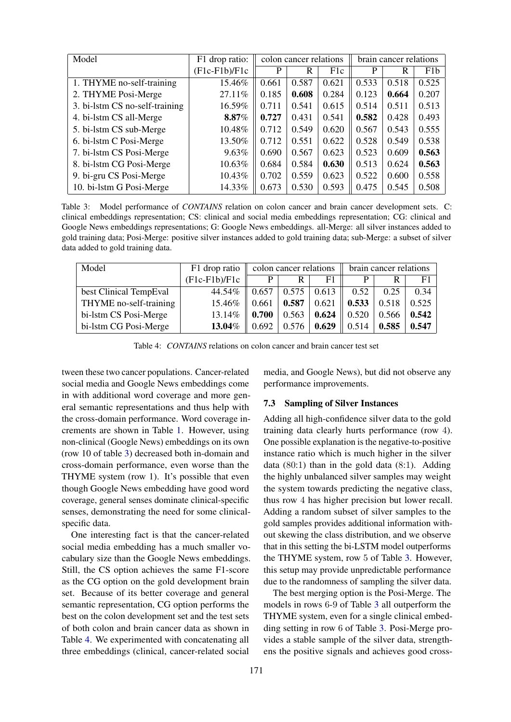| Model                          | F1 drop ratio:  | colon cancer relations |       |                  | brain cancer relations |       |       |
|--------------------------------|-----------------|------------------------|-------|------------------|------------------------|-------|-------|
|                                | $(F1c-F1b)/F1c$ | P                      | R     | F <sub>1</sub> c | P                      | R     | F1b   |
| 1. THYME no-self-training      | 15.46%          | 0.661                  | 0.587 | 0.621            | 0.533                  | 0.518 | 0.525 |
| 2. THYME Posi-Merge            | 27.11%          | 0.185                  | 0.608 | 0.284            | 0.123                  | 0.664 | 0.207 |
| 3. bi-lstm CS no-self-training | 16.59%          | 0.711                  | 0.541 | 0.615            | 0.514                  | 0.511 | 0.513 |
| 4. bi-lstm CS all-Merge        | 8.87%           | 0.727                  | 0.431 | 0.541            | 0.582                  | 0.428 | 0.493 |
| 5. bi-1stm CS sub-Merge        | 10.48%          | 0.712                  | 0.549 | 0.620            | 0.567                  | 0.543 | 0.555 |
| 6. bi-lstm C Posi-Merge        | 13.50%          | 0.712                  | 0.551 | 0.622            | 0.528                  | 0.549 | 0.538 |
| 7. bi-1stm CS Posi-Merge       | 9.63%           | 0.690                  | 0.567 | 0.623            | 0.523                  | 0.609 | 0.563 |
| 8. bi-lstm CG Posi-Merge       | 10.63%          | 0.684                  | 0.584 | 0.630            | 0.513                  | 0.624 | 0.563 |
| 9. bi-gru CS Posi-Merge        | 10.43%          | 0.702                  | 0.559 | 0.623            | 0.522                  | 0.600 | 0.558 |
| 10. bi-lstm G Posi-Merge       | 14.33%          | 0.673                  | 0.530 | 0.593            | 0.475                  | 0.545 | 0.508 |

<span id="page-6-0"></span>Table 3: Model performance of *CONTAINS* relation on colon cancer and brain cancer development sets. C: clinical embeddings representation; CS: clinical and social media embeddings representation; CG: clinical and Google News embeddings representations; G: Google News embeddings. all-Merge: all silver instances added to gold training data; Posi-Merge: positive silver instances added to gold training data; sub-Merge: a subset of silver data added to gold training data.

| Model                  | F1 drop ratio   | colon cancer relations |       |       | brain cancer relations |       |       |
|------------------------|-----------------|------------------------|-------|-------|------------------------|-------|-------|
|                        | $(F1c-F1b)/F1c$ | P                      | R     | F1    | D                      |       | F1    |
| best Clinical TempEval | 44.54%          | 0.657                  | 0.575 | 0.613 | 0.52                   | 0.25  | 0.34  |
| THYME no-self-training | 15.46%          | 0.661                  | 0.587 | 0.621 | 0.533                  | 0.518 | 0.525 |
| bi-lstm CS Posi-Merge  | 13.14%          | 0.700                  | 0.563 | 0.624 | 0.520                  | 0.566 | 0.542 |
| bi-lstm CG Posi-Merge  | 13.04%          | 0.692                  | 0.576 | 0.629 | 0.514                  | 0.585 | 0.547 |

<span id="page-6-1"></span>Table 4: *CONTAINS* relations on colon cancer and brain cancer test set

tween these two cancer populations. Cancer-related social media and Google News embeddings come in with additional word coverage and more general semantic representations and thus help with the cross-domain performance. Word coverage increments are shown in Table [1.](#page-4-0) However, using non-clinical (Google News) embeddings on its own (row 10 of table [3\)](#page-6-0) decreased both in-domain and cross-domain performance, even worse than the THYME system (row 1). It's possible that even though Google News embedding have good word coverage, general senses dominate clinical-specific senses, demonstrating the need for some clinicalspecific data.

One interesting fact is that the cancer-related social media embedding has a much smaller vocabulary size than the Google News embeddings. Still, the CS option achieves the same F1-score as the CG option on the gold development brain set. Because of its better coverage and general semantic representation, CG option performs the best on the colon development set and the test sets of both colon and brain cancer data as shown in Table [4.](#page-6-1) We experimented with concatenating all three embeddings (clinical, cancer-related social

media, and Google News), but did not observe any performance improvements.

#### 7.3 Sampling of Silver Instances

Adding all high-confidence silver data to the gold training data clearly hurts performance (row 4). One possible explanation is the negative-to-positive instance ratio which is much higher in the silver data  $(80:1)$  than in the gold data  $(8:1)$ . Adding the highly unbalanced silver samples may weight the system towards predicting the negative class, thus row 4 has higher precision but lower recall. Adding a random subset of silver samples to the gold samples provides additional information without skewing the class distribution, and we observe that in this setting the bi-LSTM model outperforms the THYME system, row 5 of Table [3.](#page-6-0) However, this setup may provide unpredictable performance due to the randomness of sampling the silver data.

The best merging option is the Posi-Merge. The models in rows 6-9 of Table [3](#page-6-0) all outperform the THYME system, even for a single clinical embedding setting in row 6 of Table [3.](#page-6-0) Posi-Merge provides a stable sample of the silver data, strengthens the positive signals and achieves good cross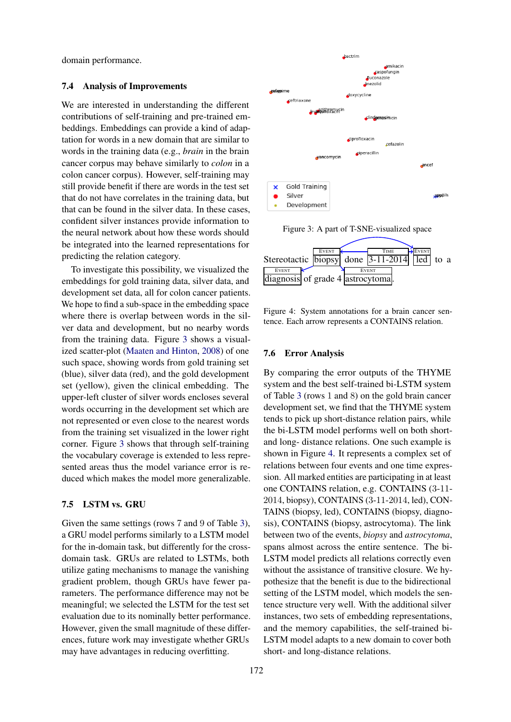domain performance.

#### 7.4 Analysis of Improvements

We are interested in understanding the different contributions of self-training and pre-trained embeddings. Embeddings can provide a kind of adaptation for words in a new domain that are similar to words in the training data (e.g., *brain* in the brain cancer corpus may behave similarly to *colon* in a colon cancer corpus). However, self-training may still provide benefit if there are words in the test set that do not have correlates in the training data, but that can be found in the silver data. In these cases, confident silver instances provide information to the neural network about how these words should be integrated into the learned representations for predicting the relation category.

To investigate this possibility, we visualized the embeddings for gold training data, silver data, and development set data, all for colon cancer patients. We hope to find a sub-space in the embedding space where there is overlap between words in the silver data and development, but no nearby words from the training data. Figure [3](#page-7-0) shows a visualized scatter-plot [\(Maaten and Hinton,](#page-9-21) [2008\)](#page-9-21) of one such space, showing words from gold training set (blue), silver data (red), and the gold development set (yellow), given the clinical embedding. The upper-left cluster of silver words encloses several words occurring in the development set which are not represented or even close to the nearest words from the training set visualized in the lower right corner. Figure [3](#page-7-0) shows that through self-training the vocabulary coverage is extended to less represented areas thus the model variance error is reduced which makes the model more generalizable.

## 7.5 LSTM vs. GRU

Given the same settings (rows 7 and 9 of Table [3\)](#page-6-0), a GRU model performs similarly to a LSTM model for the in-domain task, but differently for the crossdomain task. GRUs are related to LSTMs, both utilize gating mechanisms to manage the vanishing gradient problem, though GRUs have fewer parameters. The performance difference may not be meaningful; we selected the LSTM for the test set evaluation due to its nominally better performance. However, given the small magnitude of these differences, future work may investigate whether GRUs may have advantages in reducing overfitting.



<span id="page-7-0"></span>



<span id="page-7-1"></span>Figure 4: System annotations for a brain cancer sentence. Each arrow represents a CONTAINS relation.

#### 7.6 Error Analysis

By comparing the error outputs of the THYME system and the best self-trained bi-LSTM system of Table [3](#page-6-0) (rows 1 and 8) on the gold brain cancer development set, we find that the THYME system tends to pick up short-distance relation pairs, while the bi-LSTM model performs well on both shortand long- distance relations. One such example is shown in Figure [4.](#page-7-1) It represents a complex set of relations between four events and one time expression. All marked entities are participating in at least one CONTAINS relation, e.g. CONTAINS (3-11- 2014, biopsy), CONTAINS (3-11-2014, led), CON-TAINS (biopsy, led), CONTAINS (biopsy, diagnosis), CONTAINS (biopsy, astrocytoma). The link between two of the events, *biopsy* and *astrocytoma*, spans almost across the entire sentence. The bi-LSTM model predicts all relations correctly even without the assistance of transitive closure. We hypothesize that the benefit is due to the bidirectional setting of the LSTM model, which models the sentence structure very well. With the additional silver instances, two sets of embedding representations, and the memory capabilities, the self-trained bi-LSTM model adapts to a new domain to cover both short- and long-distance relations.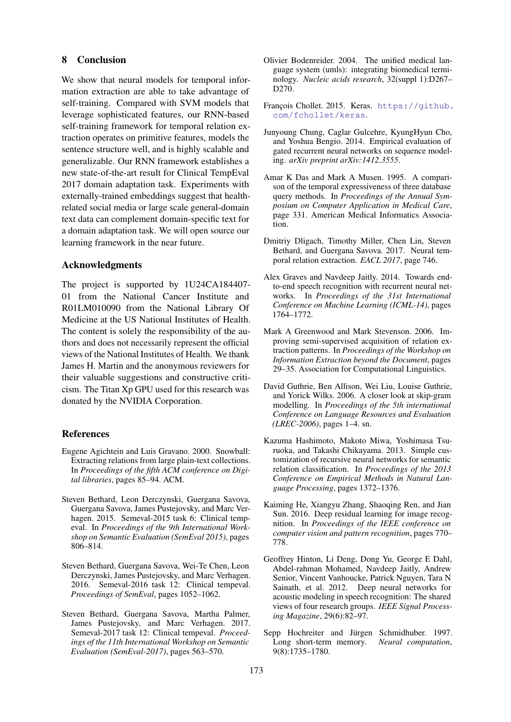## 8 Conclusion

We show that neural models for temporal information extraction are able to take advantage of self-training. Compared with SVM models that leverage sophisticated features, our RNN-based self-training framework for temporal relation extraction operates on primitive features, models the sentence structure well, and is highly scalable and generalizable. Our RNN framework establishes a new state-of-the-art result for Clinical TempEval 2017 domain adaptation task. Experiments with externally-trained embeddings suggest that healthrelated social media or large scale general-domain text data can complement domain-specific text for a domain adaptation task. We will open source our learning framework in the near future.

#### Acknowledgments

The project is supported by 1U24CA184407- 01 from the National Cancer Institute and R01LM010090 from the National Library Of Medicine at the US National Institutes of Health. The content is solely the responsibility of the authors and does not necessarily represent the official views of the National Institutes of Health. We thank James H. Martin and the anonymous reviewers for their valuable suggestions and constructive criticism. The Titan Xp GPU used for this research was donated by the NVIDIA Corporation.

#### **References**

- <span id="page-8-9"></span>Eugene Agichtein and Luis Gravano. 2000. Snowball: Extracting relations from large plain-text collections. In *Proceedings of the fifth ACM conference on Digital libraries*, pages 85–94. ACM.
- <span id="page-8-5"></span>Steven Bethard, Leon Derczynski, Guergana Savova, Guergana Savova, James Pustejovsky, and Marc Verhagen. 2015. Semeval-2015 task 6: Clinical tempeval. In *Proceedings of the 9th International Workshop on Semantic Evaluation (SemEval 2015)*, pages 806–814.
- <span id="page-8-6"></span>Steven Bethard, Guergana Savova, Wei-Te Chen, Leon Derczynski, James Pustejovsky, and Marc Verhagen. 2016. Semeval-2016 task 12: Clinical tempeval. *Proceedings of SemEval*, pages 1052–1062.
- <span id="page-8-4"></span>Steven Bethard, Guergana Savova, Martha Palmer, James Pustejovsky, and Marc Verhagen. 2017. Semeval-2017 task 12: Clinical tempeval. *Proceedings of the 11th International Workshop on Semantic Evaluation (SemEval-2017)*, pages 563–570.
- <span id="page-8-12"></span>Olivier Bodenreider. 2004. The unified medical language system (umls): integrating biomedical terminology. *Nucleic acids research*, 32(suppl 1):D267– D270.
- <span id="page-8-15"></span>François Chollet. 2015. Keras. [https://github.](https://github.com/fchollet/keras) [com/fchollet/keras](https://github.com/fchollet/keras).
- <span id="page-8-14"></span>Junyoung Chung, Caglar Gulcehre, KyungHyun Cho, and Yoshua Bengio. 2014. Empirical evaluation of gated recurrent neural networks on sequence modeling. *arXiv preprint arXiv:1412.3555*.
- <span id="page-8-3"></span>Amar K Das and Mark A Musen. 1995. A comparison of the temporal expressiveness of three database query methods. In *Proceedings of the Annual Symposium on Computer Application in Medical Care*, page 331. American Medical Informatics Association.
- <span id="page-8-8"></span>Dmitriy Dligach, Timothy Miller, Chen Lin, Steven Bethard, and Guergana Savova. 2017. Neural temporal relation extraction. *EACL 2017*, page 746.
- <span id="page-8-2"></span>Alex Graves and Navdeep Jaitly. 2014. Towards endto-end speech recognition with recurrent neural networks. In *Proceedings of the 31st International Conference on Machine Learning (ICML-14)*, pages 1764–1772.
- <span id="page-8-10"></span>Mark A Greenwood and Mark Stevenson. 2006. Improving semi-supervised acquisition of relation extraction patterns. In *Proceedings of the Workshop on Information Extraction beyond the Document*, pages 29–35. Association for Computational Linguistics.
- <span id="page-8-11"></span>David Guthrie, Ben Allison, Wei Liu, Louise Guthrie, and Yorick Wilks. 2006. A closer look at skip-gram modelling. In *Proceedings of the 5th international Conference on Language Resources and Evaluation (LREC-2006)*, pages 1–4. sn.
- <span id="page-8-7"></span>Kazuma Hashimoto, Makoto Miwa, Yoshimasa Tsuruoka, and Takashi Chikayama. 2013. Simple customization of recursive neural networks for semantic relation classification. In *Proceedings of the 2013 Conference on Empirical Methods in Natural Language Processing*, pages 1372–1376.
- <span id="page-8-0"></span>Kaiming He, Xiangyu Zhang, Shaoqing Ren, and Jian Sun. 2016. Deep residual learning for image recognition. In *Proceedings of the IEEE conference on computer vision and pattern recognition*, pages 770– 778.
- <span id="page-8-1"></span>Geoffrey Hinton, Li Deng, Dong Yu, George E Dahl, Abdel-rahman Mohamed, Navdeep Jaitly, Andrew Senior, Vincent Vanhoucke, Patrick Nguyen, Tara N Sainath, et al. 2012. Deep neural networks for acoustic modeling in speech recognition: The shared views of four research groups. *IEEE Signal Processing Magazine*, 29(6):82–97.
- <span id="page-8-13"></span>Sepp Hochreiter and Jürgen Schmidhuber. 1997. Long short-term memory. *Neural computation*, 9(8):1735–1780.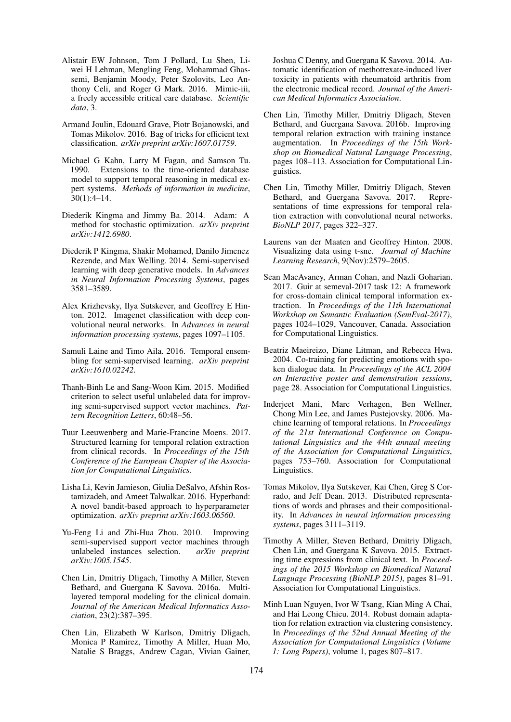- <span id="page-9-12"></span>Alistair EW Johnson, Tom J Pollard, Lu Shen, Liwei H Lehman, Mengling Feng, Mohammad Ghassemi, Benjamin Moody, Peter Szolovits, Leo Anthony Celi, and Roger G Mark. 2016. Mimic-iii, a freely accessible critical care database. *Scientific data*, 3.
- <span id="page-9-13"></span>Armand Joulin, Edouard Grave, Piotr Bojanowski, and Tomas Mikolov. 2016. Bag of tricks for efficient text classification. *arXiv preprint arXiv:1607.01759*.
- <span id="page-9-2"></span>Michael G Kahn, Larry M Fagan, and Samson Tu. 1990. Extensions to the time-oriented database model to support temporal reasoning in medical expert systems. *Methods of information in medicine*, 30(1):4–14.
- <span id="page-9-17"></span>Diederik Kingma and Jimmy Ba. 2014. Adam: A method for stochastic optimization. *arXiv preprint arXiv:1412.6980*.
- <span id="page-9-11"></span>Diederik P Kingma, Shakir Mohamed, Danilo Jimenez Rezende, and Max Welling. 2014. Semi-supervised learning with deep generative models. In *Advances in Neural Information Processing Systems*, pages 3581–3589.
- <span id="page-9-0"></span>Alex Krizhevsky, Ilya Sutskever, and Geoffrey E Hinton. 2012. Imagenet classification with deep convolutional neural networks. In *Advances in neural information processing systems*, pages 1097–1105.
- <span id="page-9-10"></span>Samuli Laine and Timo Aila. 2016. Temporal ensembling for semi-supervised learning. *arXiv preprint arXiv:1610.02242*.
- <span id="page-9-8"></span>Thanh-Binh Le and Sang-Woon Kim. 2015. Modified criterion to select useful unlabeled data for improving semi-supervised support vector machines. *Pattern Recognition Letters*, 60:48–56.
- <span id="page-9-5"></span>Tuur Leeuwenberg and Marie-Francine Moens. 2017. Structured learning for temporal relation extraction from clinical records. In *Proceedings of the 15th Conference of the European Chapter of the Association for Computational Linguistics*.
- <span id="page-9-18"></span>Lisha Li, Kevin Jamieson, Giulia DeSalvo, Afshin Rostamizadeh, and Ameet Talwalkar. 2016. Hyperband: A novel bandit-based approach to hyperparameter optimization. *arXiv preprint arXiv:1603.06560*.
- <span id="page-9-9"></span>Yu-Feng Li and Zhi-Hua Zhou. 2010. Improving semi-supervised support vector machines through unlabeled instances selection. *arXiv preprint arXiv:1005.1545*.
- <span id="page-9-1"></span>Chen Lin, Dmitriy Dligach, Timothy A Miller, Steven Bethard, and Guergana K Savova. 2016a. Multilayered temporal modeling for the clinical domain. *Journal of the American Medical Informatics Association*, 23(2):387–395.
- <span id="page-9-3"></span>Chen Lin, Elizabeth W Karlson, Dmitriy Dligach, Monica P Ramirez, Timothy A Miller, Huan Mo, Natalie S Braggs, Andrew Cagan, Vivian Gainer,

Joshua C Denny, and Guergana K Savova. 2014. Automatic identification of methotrexate-induced liver toxicity in patients with rheumatoid arthritis from the electronic medical record. *Journal of the American Medical Informatics Association*.

- <span id="page-9-19"></span>Chen Lin, Timothy Miller, Dmitriy Dligach, Steven Bethard, and Guergana Savova. 2016b. Improving temporal relation extraction with training instance augmentation. In *Proceedings of the 15th Workshop on Biomedical Natural Language Processing*, pages 108–113. Association for Computational Linguistics.
- <span id="page-9-6"></span>Chen Lin, Timothy Miller, Dmitriy Dligach, Steven Bethard, and Guergana Savova. 2017. Representations of time expressions for temporal relation extraction with convolutional neural networks. *BioNLP 2017*, pages 322–327.
- <span id="page-9-21"></span>Laurens van der Maaten and Geoffrey Hinton. 2008. Visualizing data using t-sne. *Journal of Machine Learning Research*, 9(Nov):2579–2605.
- <span id="page-9-20"></span>Sean MacAvaney, Arman Cohan, and Nazli Goharian. 2017. Guir at semeval-2017 task 12: A framework for cross-domain clinical temporal information extraction. In *Proceedings of the 11th International Workshop on Semantic Evaluation (SemEval-2017)*, pages 1024–1029, Vancouver, Canada. Association for Computational Linguistics.
- <span id="page-9-4"></span>Beatriz Maeireizo, Diane Litman, and Rebecca Hwa. 2004. Co-training for predicting emotions with spoken dialogue data. In *Proceedings of the ACL 2004 on Interactive poster and demonstration sessions*, page 28. Association for Computational Linguistics.
- <span id="page-9-16"></span>Inderjeet Mani, Marc Verhagen, Ben Wellner, Chong Min Lee, and James Pustejovsky. 2006. Machine learning of temporal relations. In *Proceedings of the 21st International Conference on Computational Linguistics and the 44th annual meeting of the Association for Computational Linguistics*, pages 753–760. Association for Computational Linguistics.
- <span id="page-9-14"></span>Tomas Mikolov, Ilya Sutskever, Kai Chen, Greg S Corrado, and Jeff Dean. 2013. Distributed representations of words and phrases and their compositionality. In *Advances in neural information processing systems*, pages 3111–3119.
- <span id="page-9-15"></span>Timothy A Miller, Steven Bethard, Dmitriy Dligach, Chen Lin, and Guergana K Savova. 2015. Extracting time expressions from clinical text. In *Proceedings of the 2015 Workshop on Biomedical Natural Language Processing (BioNLP 2015)*, pages 81–91. Association for Computational Linguistics.
- <span id="page-9-7"></span>Minh Luan Nguyen, Ivor W Tsang, Kian Ming A Chai, and Hai Leong Chieu. 2014. Robust domain adaptation for relation extraction via clustering consistency. In *Proceedings of the 52nd Annual Meeting of the Association for Computational Linguistics (Volume 1: Long Papers)*, volume 1, pages 807–817.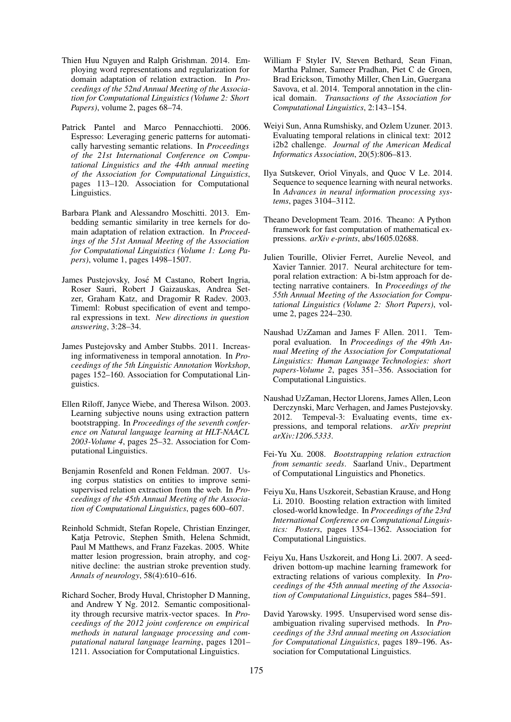- <span id="page-10-10"></span>Thien Huu Nguyen and Ralph Grishman. 2014. Employing word representations and regularization for domain adaptation of relation extraction. In *Proceedings of the 52nd Annual Meeting of the Association for Computational Linguistics (Volume 2: Short Papers)*, volume 2, pages 68–74.
- <span id="page-10-12"></span>Patrick Pantel and Marco Pennacchiotti. 2006. Espresso: Leveraging generic patterns for automatically harvesting semantic relations. In *Proceedings of the 21st International Conference on Computational Linguistics and the 44th annual meeting of the Association for Computational Linguistics*, pages 113–120. Association for Computational Linguistics.
- <span id="page-10-11"></span>Barbara Plank and Alessandro Moschitti. 2013. Embedding semantic similarity in tree kernels for domain adaptation of relation extraction. In *Proceedings of the 51st Annual Meeting of the Association for Computational Linguistics (Volume 1: Long Papers)*, volume 1, pages 1498–1507.
- <span id="page-10-6"></span>James Pustejovsky, Jose M Castano, Robert Ingria, ´ Roser Sauri, Robert J Gaizauskas, Andrea Setzer, Graham Katz, and Dragomir R Radev. 2003. Timeml: Robust specification of event and temporal expressions in text. *New directions in question answering*, 3:28–34.
- <span id="page-10-7"></span>James Pustejovsky and Amber Stubbs. 2011. Increasing informativeness in temporal annotation. In *Proceedings of the 5th Linguistic Annotation Workshop*, pages 152–160. Association for Computational Linguistics.
- <span id="page-10-4"></span>Ellen Riloff, Janyce Wiebe, and Theresa Wilson. 2003. Learning subjective nouns using extraction pattern bootstrapping. In *Proceedings of the seventh conference on Natural language learning at HLT-NAACL 2003-Volume 4*, pages 25–32. Association for Computational Linguistics.
- <span id="page-10-13"></span>Benjamin Rosenfeld and Ronen Feldman. 2007. Using corpus statistics on entities to improve semisupervised relation extraction from the web. In *Proceedings of the 45th Annual Meeting of the Association of Computational Linguistics*, pages 600–607.
- <span id="page-10-2"></span>Reinhold Schmidt, Stefan Ropele, Christian Enzinger, Katja Petrovic, Stephen Smith, Helena Schmidt, Paul M Matthews, and Franz Fazekas. 2005. White matter lesion progression, brain atrophy, and cognitive decline: the austrian stroke prevention study. *Annals of neurology*, 58(4):610–616.
- <span id="page-10-8"></span>Richard Socher, Brody Huval, Christopher D Manning, and Andrew Y Ng. 2012. Semantic compositionality through recursive matrix-vector spaces. In *Proceedings of the 2012 joint conference on empirical methods in natural language processing and computational natural language learning*, pages 1201– 1211. Association for Computational Linguistics.
- <span id="page-10-5"></span>William F Styler IV, Steven Bethard, Sean Finan, Martha Palmer, Sameer Pradhan, Piet C de Groen, Brad Erickson, Timothy Miller, Chen Lin, Guergana Savova, et al. 2014. Temporal annotation in the clinical domain. *Transactions of the Association for Computational Linguistics*, 2:143–154.
- <span id="page-10-1"></span>Weiyi Sun, Anna Rumshisky, and Ozlem Uzuner. 2013. Evaluating temporal relations in clinical text: 2012 i2b2 challenge. *Journal of the American Medical Informatics Association*, 20(5):806–813.
- <span id="page-10-0"></span>Ilya Sutskever, Oriol Vinyals, and Quoc V Le. 2014. Sequence to sequence learning with neural networks. In *Advances in neural information processing systems*, pages 3104–3112.
- <span id="page-10-17"></span>Theano Development Team. 2016. Theano: A Python framework for fast computation of mathematical expressions. *arXiv e-prints*, abs/1605.02688.
- <span id="page-10-9"></span>Julien Tourille, Olivier Ferret, Aurelie Neveol, and Xavier Tannier. 2017. Neural architecture for temporal relation extraction: A bi-lstm approach for detecting narrative containers. In *Proceedings of the 55th Annual Meeting of the Association for Computational Linguistics (Volume 2: Short Papers)*, volume 2, pages 224–230.
- <span id="page-10-18"></span>Naushad UzZaman and James F Allen. 2011. Temporal evaluation. In *Proceedings of the 49th Annual Meeting of the Association for Computational Linguistics: Human Language Technologies: short papers-Volume 2*, pages 351–356. Association for Computational Linguistics.
- <span id="page-10-19"></span>Naushad UzZaman, Hector Llorens, James Allen, Leon Derczynski, Marc Verhagen, and James Pustejovsky. 2012. Tempeval-3: Evaluating events, time expressions, and temporal relations. *arXiv preprint arXiv:1206.5333*.
- <span id="page-10-14"></span>Fei-Yu Xu. 2008. *Bootstrapping relation extraction from semantic seeds*. Saarland Univ., Department of Computational Linguistics and Phonetics.
- <span id="page-10-16"></span>Feiyu Xu, Hans Uszkoreit, Sebastian Krause, and Hong Li. 2010. Boosting relation extraction with limited closed-world knowledge. In *Proceedings of the 23rd International Conference on Computational Linguistics: Posters*, pages 1354–1362. Association for Computational Linguistics.
- <span id="page-10-15"></span>Feiyu Xu, Hans Uszkoreit, and Hong Li. 2007. A seeddriven bottom-up machine learning framework for extracting relations of various complexity. In *Proceedings of the 45th annual meeting of the Association of Computational Linguistics*, pages 584–591.
- <span id="page-10-3"></span>David Yarowsky. 1995. Unsupervised word sense disambiguation rivaling supervised methods. In *Proceedings of the 33rd annual meeting on Association for Computational Linguistics*, pages 189–196. Association for Computational Linguistics.